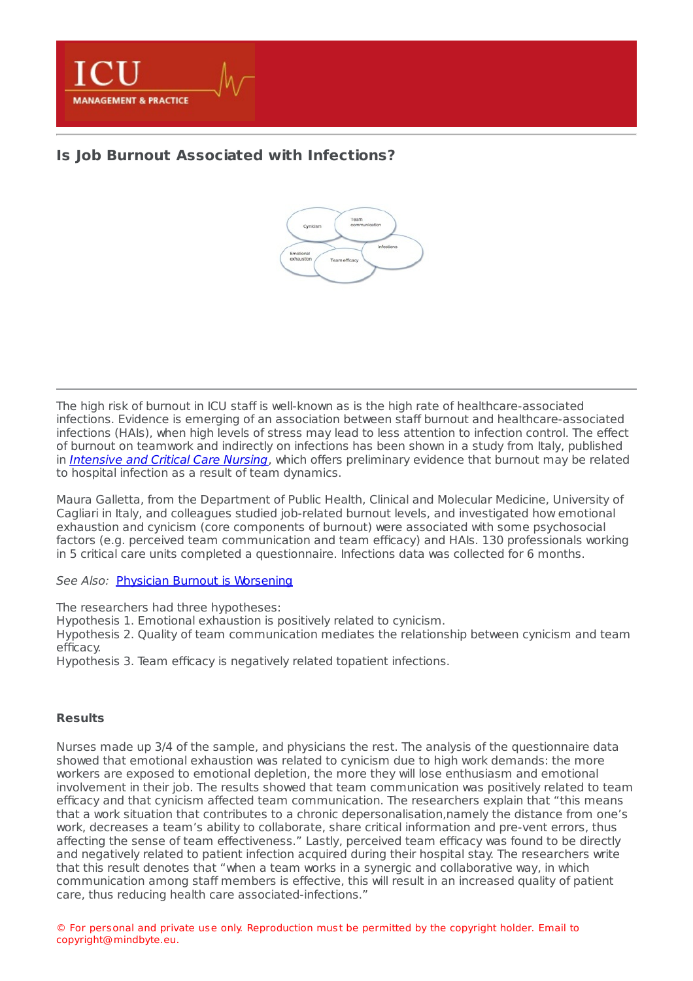

## **Is Job Burnout Associated with [Infections?](https://healthmanagement.org/s/is-job-burnout-associated-with-infections)**



The high risk of burnout in ICU staff is well-known as is the high rate of healthcare-associated infections. Evidence is emerging of an association between staff burnout and healthcare-associated infections (HAIs), when high levels of stress may lead to less attention to infection control. The effect of burnout on teamwork and indirectly on infections has been shown in a study from Italy, published in [Intensive](http://www.intensivecriticalcarenursing.com/) and Critical Care Nursing, which offers preliminary evidence that burnout may be related to hospital infection as a result of team dynamics.

Maura Galletta, from the Department of Public Health, Clinical and Molecular Medicine, University of Cagliari in Italy, and colleagues studied job-related burnout levels, and investigated how emotional exhaustion and cynicism (core components of burnout) were associated with some psychosocial factors (e.g. perceived team communication and team efficacy) and HAIs. 130 professionals working in 5 critical care units completed a questionnaire. Infections data was collected for 6 months.

See Also: Physician Burnout is [Worsening](https://healthmanagement.org/c/hospital/news/physician-burnout-is-worsening)

The researchers had three hypotheses:

Hypothesis 1. Emotional exhaustion is positively related to cynicism.

Hypothesis 2. Quality of team communication mediates the relationship between cynicism and team efficacy.

Hypothesis 3. Team efficacy is negatively related topatient infections.

## **Results**

Nurses made up 3/4 of the sample, and physicians the rest. The analysis of the questionnaire data showed that emotional exhaustion was related to cynicism due to high work demands: the more workers are exposed to emotional depletion, the more they will lose enthusiasm and emotional involvement in their job. The results showed that team communication was positively related to team efficacy and that cynicism affected team communication. The researchers explain that "this means that a work situation that contributes to a chronic depersonalisation,namely the distance from one's work, decreases a team's ability to collaborate, share critical information and pre-vent errors, thus affecting the sense of team effectiveness." Lastly, perceived team efficacy was found to be directly and negatively related to patient infection acquired during their hospital stay. The researchers write that this result denotes that "when a team works in a synergic and collaborative way, in which communication among staff members is effective, this will result in an increased quality of patient care, thus reducing health care associated-infections."

© For personal and private use only. Reproduction must be permitted by the copyright holder. Email to copyright@mindbyte.eu.